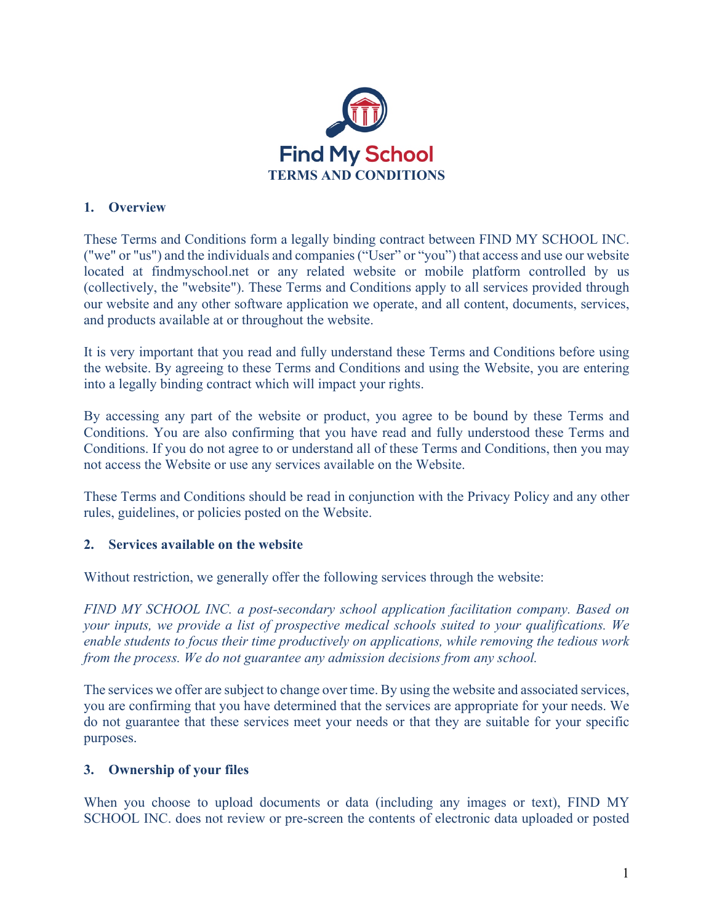

### **1. Overview**

These Terms and Conditions form a legally binding contract between FIND MY SCHOOL INC. ("we" or "us") and the individuals and companies ("User" or "you") that access and use our website located at findmyschool.net or any related website or mobile platform controlled by us (collectively, the "website"). These Terms and Conditions apply to all services provided through our website and any other software application we operate, and all content, documents, services, and products available at or throughout the website.

It is very important that you read and fully understand these Terms and Conditions before using the website. By agreeing to these Terms and Conditions and using the Website, you are entering into a legally binding contract which will impact your rights.

By accessing any part of the website or product, you agree to be bound by these Terms and Conditions. You are also confirming that you have read and fully understood these Terms and Conditions. If you do not agree to or understand all of these Terms and Conditions, then you may not access the Website or use any services available on the Website.

These Terms and Conditions should be read in conjunction with the Privacy Policy and any other rules, guidelines, or policies posted on the Website.

# **2. Services available on the website**

Without restriction, we generally offer the following services through the website:

*FIND MY SCHOOL INC. a post-secondary school application facilitation company. Based on your inputs, we provide a list of prospective medical schools suited to your qualifications. We enable students to focus their time productively on applications, while removing the tedious work from the process. We do not guarantee any admission decisions from any school.*

The services we offer are subject to change over time. By using the website and associated services, you are confirming that you have determined that the services are appropriate for your needs. We do not guarantee that these services meet your needs or that they are suitable for your specific purposes.

#### **3. Ownership of your files**

When you choose to upload documents or data (including any images or text), FIND MY SCHOOL INC. does not review or pre-screen the contents of electronic data uploaded or posted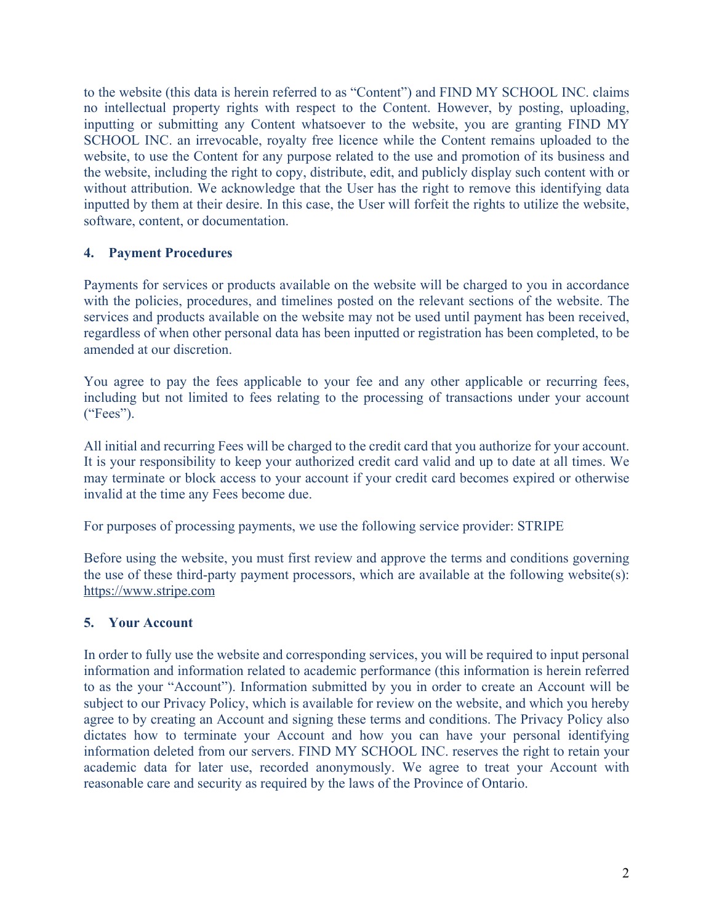to the website (this data is herein referred to as "Content") and FIND MY SCHOOL INC. claims no intellectual property rights with respect to the Content. However, by posting, uploading, inputting or submitting any Content whatsoever to the website, you are granting FIND MY SCHOOL INC. an irrevocable, royalty free licence while the Content remains uploaded to the website, to use the Content for any purpose related to the use and promotion of its business and the website, including the right to copy, distribute, edit, and publicly display such content with or without attribution. We acknowledge that the User has the right to remove this identifying data inputted by them at their desire. In this case, the User will forfeit the rights to utilize the website, software, content, or documentation.

# **4. Payment Procedures**

Payments for services or products available on the website will be charged to you in accordance with the policies, procedures, and timelines posted on the relevant sections of the website. The services and products available on the website may not be used until payment has been received, regardless of when other personal data has been inputted or registration has been completed, to be amended at our discretion.

You agree to pay the fees applicable to your fee and any other applicable or recurring fees, including but not limited to fees relating to the processing of transactions under your account ("Fees").

All initial and recurring Fees will be charged to the credit card that you authorize for your account. It is your responsibility to keep your authorized credit card valid and up to date at all times. We may terminate or block access to your account if your credit card becomes expired or otherwise invalid at the time any Fees become due.

For purposes of processing payments, we use the following service provider: STRIPE

Before using the website, you must first review and approve the terms and conditions governing the use of these third-party payment processors, which are available at the following website(s): https://www.stripe.com

# **5. Your Account**

In order to fully use the website and corresponding services, you will be required to input personal information and information related to academic performance (this information is herein referred to as the your "Account"). Information submitted by you in order to create an Account will be subject to our Privacy Policy, which is available for review on the website, and which you hereby agree to by creating an Account and signing these terms and conditions. The Privacy Policy also dictates how to terminate your Account and how you can have your personal identifying information deleted from our servers. FIND MY SCHOOL INC. reserves the right to retain your academic data for later use, recorded anonymously. We agree to treat your Account with reasonable care and security as required by the laws of the Province of Ontario.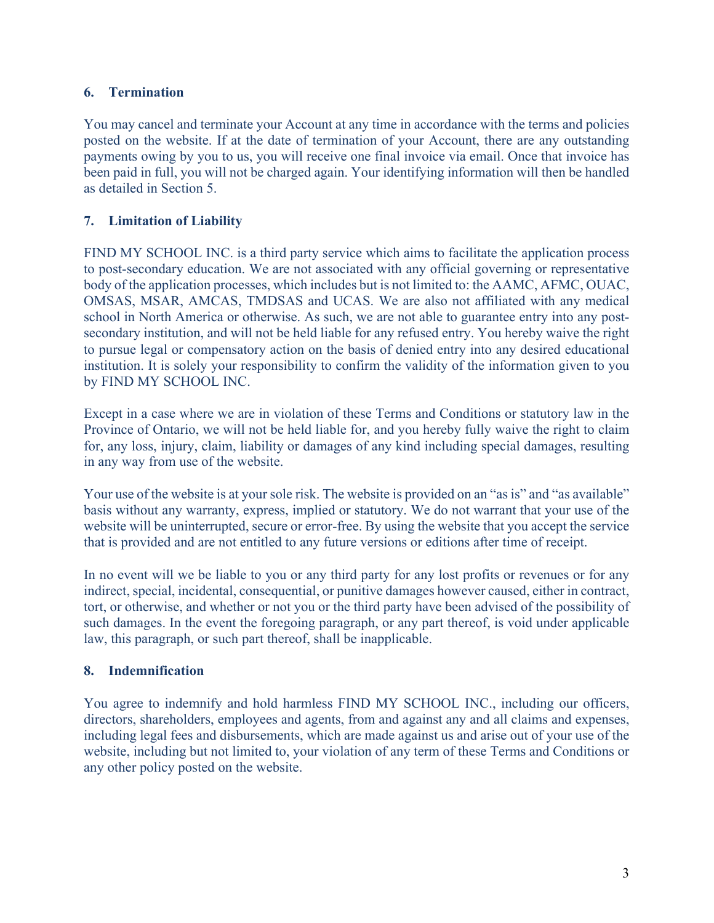# **6. Termination**

You may cancel and terminate your Account at any time in accordance with the terms and policies posted on the website. If at the date of termination of your Account, there are any outstanding payments owing by you to us, you will receive one final invoice via email. Once that invoice has been paid in full, you will not be charged again. Your identifying information will then be handled as detailed in Section 5.

# **7. Limitation of Liability**

FIND MY SCHOOL INC. is a third party service which aims to facilitate the application process to post-secondary education. We are not associated with any official governing or representative body of the application processes, which includes but is not limited to: the AAMC, AFMC, OUAC, OMSAS, MSAR, AMCAS, TMDSAS and UCAS. We are also not affiliated with any medical school in North America or otherwise. As such, we are not able to guarantee entry into any postsecondary institution, and will not be held liable for any refused entry. You hereby waive the right to pursue legal or compensatory action on the basis of denied entry into any desired educational institution. It is solely your responsibility to confirm the validity of the information given to you by FIND MY SCHOOL INC.

Except in a case where we are in violation of these Terms and Conditions or statutory law in the Province of Ontario, we will not be held liable for, and you hereby fully waive the right to claim for, any loss, injury, claim, liability or damages of any kind including special damages, resulting in any way from use of the website.

Your use of the website is at your sole risk. The website is provided on an "as is" and "as available" basis without any warranty, express, implied or statutory. We do not warrant that your use of the website will be uninterrupted, secure or error-free. By using the website that you accept the service that is provided and are not entitled to any future versions or editions after time of receipt.

In no event will we be liable to you or any third party for any lost profits or revenues or for any indirect, special, incidental, consequential, or punitive damages however caused, either in contract, tort, or otherwise, and whether or not you or the third party have been advised of the possibility of such damages. In the event the foregoing paragraph, or any part thereof, is void under applicable law, this paragraph, or such part thereof, shall be inapplicable.

# **8. Indemnification**

You agree to indemnify and hold harmless FIND MY SCHOOL INC., including our officers, directors, shareholders, employees and agents, from and against any and all claims and expenses, including legal fees and disbursements, which are made against us and arise out of your use of the website, including but not limited to, your violation of any term of these Terms and Conditions or any other policy posted on the website.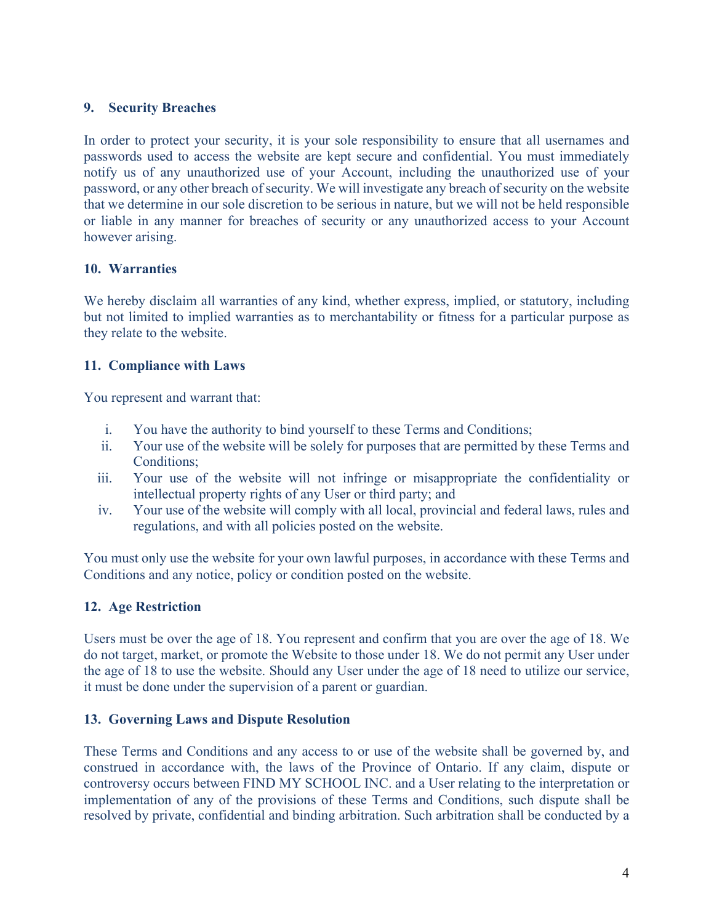### **9. Security Breaches**

In order to protect your security, it is your sole responsibility to ensure that all usernames and passwords used to access the website are kept secure and confidential. You must immediately notify us of any unauthorized use of your Account, including the unauthorized use of your password, or any other breach of security. We will investigate any breach of security on the website that we determine in our sole discretion to be serious in nature, but we will not be held responsible or liable in any manner for breaches of security or any unauthorized access to your Account however arising.

# **10. Warranties**

We hereby disclaim all warranties of any kind, whether express, implied, or statutory, including but not limited to implied warranties as to merchantability or fitness for a particular purpose as they relate to the website.

### **11. Compliance with Laws**

You represent and warrant that:

- i. You have the authority to bind yourself to these Terms and Conditions;
- ii. Your use of the website will be solely for purposes that are permitted by these Terms and Conditions;
- iii. Your use of the website will not infringe or misappropriate the confidentiality or intellectual property rights of any User or third party; and
- iv. Your use of the website will comply with all local, provincial and federal laws, rules and regulations, and with all policies posted on the website.

You must only use the website for your own lawful purposes, in accordance with these Terms and Conditions and any notice, policy or condition posted on the website.

# **12. Age Restriction**

Users must be over the age of 18. You represent and confirm that you are over the age of 18. We do not target, market, or promote the Website to those under 18. We do not permit any User under the age of 18 to use the website. Should any User under the age of 18 need to utilize our service, it must be done under the supervision of a parent or guardian.

#### **13. Governing Laws and Dispute Resolution**

These Terms and Conditions and any access to or use of the website shall be governed by, and construed in accordance with, the laws of the Province of Ontario. If any claim, dispute or controversy occurs between FIND MY SCHOOL INC. and a User relating to the interpretation or implementation of any of the provisions of these Terms and Conditions, such dispute shall be resolved by private, confidential and binding arbitration. Such arbitration shall be conducted by a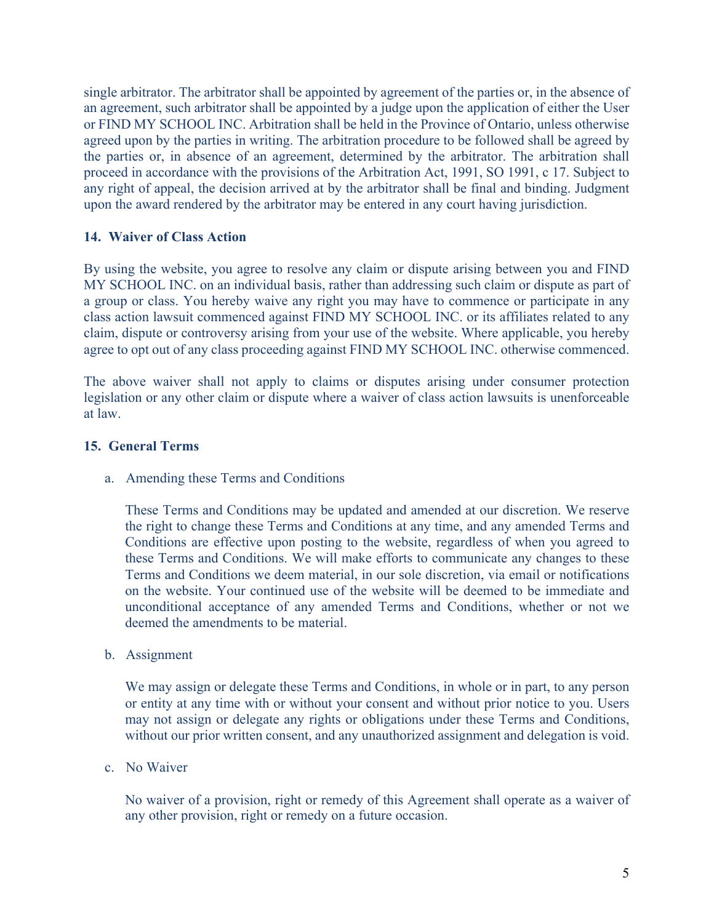single arbitrator. The arbitrator shall be appointed by agreement of the parties or, in the absence of an agreement, such arbitrator shall be appointed by a judge upon the application of either the User or FIND MY SCHOOL INC. Arbitration shall be held in the Province of Ontario, unless otherwise agreed upon by the parties in writing. The arbitration procedure to be followed shall be agreed by the parties or, in absence of an agreement, determined by the arbitrator. The arbitration shall proceed in accordance with the provisions of the Arbitration Act, 1991, SO 1991, c 17. Subject to any right of appeal, the decision arrived at by the arbitrator shall be final and binding. Judgment upon the award rendered by the arbitrator may be entered in any court having jurisdiction.

### **14. Waiver of Class Action**

By using the website, you agree to resolve any claim or dispute arising between you and FIND MY SCHOOL INC. on an individual basis, rather than addressing such claim or dispute as part of a group or class. You hereby waive any right you may have to commence or participate in any class action lawsuit commenced against FIND MY SCHOOL INC. or its affiliates related to any claim, dispute or controversy arising from your use of the website. Where applicable, you hereby agree to opt out of any class proceeding against FIND MY SCHOOL INC. otherwise commenced.

The above waiver shall not apply to claims or disputes arising under consumer protection legislation or any other claim or dispute where a waiver of class action lawsuits is unenforceable at law.

### **15. General Terms**

a. Amending these Terms and Conditions

These Terms and Conditions may be updated and amended at our discretion. We reserve the right to change these Terms and Conditions at any time, and any amended Terms and Conditions are effective upon posting to the website, regardless of when you agreed to these Terms and Conditions. We will make efforts to communicate any changes to these Terms and Conditions we deem material, in our sole discretion, via email or notifications on the website. Your continued use of the website will be deemed to be immediate and unconditional acceptance of any amended Terms and Conditions, whether or not we deemed the amendments to be material.

b. Assignment

We may assign or delegate these Terms and Conditions, in whole or in part, to any person or entity at any time with or without your consent and without prior notice to you. Users may not assign or delegate any rights or obligations under these Terms and Conditions, without our prior written consent, and any unauthorized assignment and delegation is void.

c. No Waiver

No waiver of a provision, right or remedy of this Agreement shall operate as a waiver of any other provision, right or remedy on a future occasion.